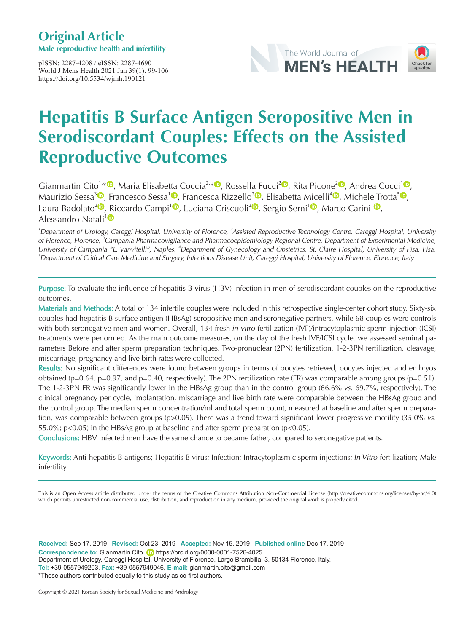# **Original Article**

**Male reproductive health and infertility**

pISSN: 2287-4208 / eISSN: 2287-4690 World J Mens Health 2021 Jan 39(1): 99-106 https://doi.org/10.5534/wjmh.190121





# **Hepatitis B Surface Antigen Seropositive Men in Serodiscordant Couples: Effects on the Assisted Reproductive Outcomes**

Gianmartin Cito<sup>1,[\\*](https://orcid.org/0000-0001-5294-129X)  $\Phi$ , Maria Elisabetta Coccia<sup>[2](https://orcid.org/0000-0002-8510-8883)[,](https://orcid.org/0000-0003-3085-6769)\*  $\Phi$ </sup>, Rossella Fucci<sup>2</sup> $\Phi$ , Rita Picone<sup>2 $\Phi$ </sup>, Andrea Cocci<sup>[1](https://orcid.org/0000-0003-0138-6294)</sup> $\Phi$ ,</sup> Maurizio Sessa<sup>[3](https://orcid.org/0000-0003-0874-4744)</sup><sup>®</sup>, Francesco Sessa<sup>[1](https://orcid.org/0000-0003-2596-5792)®</sup>, Francesca Rizzello<sup>[2](https://orcid.org/0000-0002-4869-7367)®</sup>[,](https://orcid.org/0000-0001-5456-2891) Elisabetta Micelli<sup>4®</sup>, Michele Trotta<sup>5®</sup>, Laura Badolato<sup>[2](https://orcid.org/0000-0002-4189-5969)</sup><sup>(D</sup>, Riccardo Campi<sup>[1](https://orcid.org/0000-0002-2288-3647)</sup><sup>(D</sup>[,](https://orcid.org/0000-0002-8699-985X) Luciana Criscuoli<sup>2</sup><sup>(D</sup>, Sergio Serni<sup>1</sup><sup>(D</sup>, Marco Carini<sup>1</sup><sup>(D</sup>, Alessandro Natali<sup>[1](https://orcid.org/0000-0003-4456-7626)</sup><sup>0</sup>

<sup>1</sup>Department of Urology, Careggi Hospital, University of Florence, <sup>2</sup>Assisted Reproductive Technology Centre, Careggi Hospital, University of Florence, Florence, <sup>3</sup>Campania Pharmacovigilance and Pharmacoepidemiology Regional Centre, Department of Experimental Medicine, University of Campania "L. Vanvitelli", Naples, <sup>4</sup>Department of Gynecology and Obstetrics, St. Claire Hospital, University of Pisa, Pisa, 5 Department of Critical Care Medicine and Surgery, Infectious Disease Unit, Careggi Hospital, University of Florence, Florence, Italy

Purpose: To evaluate the influence of hepatitis B virus (HBV) infection in men of serodiscordant couples on the reproductive outcomes.

Materials and Methods: A total of 134 infertile couples were included in this retrospective single-center cohort study. Sixty-six couples had hepatitis B surface antigen (HBsAg)-seropositive men and seronegative partners, while 68 couples were controls with both seronegative men and women. Overall, 134 fresh in-vitro fertilization (IVF)/intracytoplasmic sperm injection (ICSI) treatments were performed. As the main outcome measures, on the day of the fresh IVF/ICSI cycle, we assessed seminal parameters Before and after sperm preparation techniques. Two-pronuclear (2PN) fertilization, 1-2-3PN fertilization, cleavage, miscarriage, pregnancy and live birth rates were collected.

Results: No significant differences were found between groups in terms of oocytes retrieved, oocytes injected and embryos obtained ( $p=0.64$ ,  $p=0.97$ , and  $p=0.40$ , respectively). The 2PN fertilization rate (FR) was comparable among groups ( $p=0.51$ ). The 1-2-3PN FR was significantly lower in the HBsAg group than in the control group (66.6% vs. 69.7%, respectively). The clinical pregnancy per cycle, implantation, miscarriage and live birth rate were comparable between the HBsAg group and the control group. The median sperm concentration/ml and total sperm count, measured at baseline and after sperm preparation, was comparable between groups (p>0.05). There was a trend toward significant lower progressive motility (35.0% vs. 55.0%; p<0.05) in the HBsAg group at baseline and after sperm preparation (p<0.05).

Conclusions: HBV infected men have the same chance to became father, compared to seronegative patients.

Keywords: Anti-hepatitis B antigens; Hepatitis B virus; Infection; Intracytoplasmic sperm injections; In Vitro fertilization; Male infertility

This is an Open Access article distributed under the terms of the Creative Commons Attribution Non-Commercial License (http://creativecommons.org/licenses/by-nc/4.0) which permits unrestricted non-commercial use, distribution, and reproduction in any medium, provided the original work is properly cited.

**Received:** Sep 17, 2019 **Revised:** Oct 23, 2019 **Accepted:** Nov 15, 2019 **Published online** Dec 17, 2019 Correspondence to: Gianmartin Cito (iii) https://orcid.org/0000-0001-7526-4025 Department of Urology, Careggi Hospital, University of Florence, Largo Brambilla, 3, 50134 Florence, Italy. **Tel:** +39-0557949203, **Fax:** +39-0557949046, **E-mail:** gianmartin.cito@gmail.com \*These authors contributed equally to this study as co-first authors.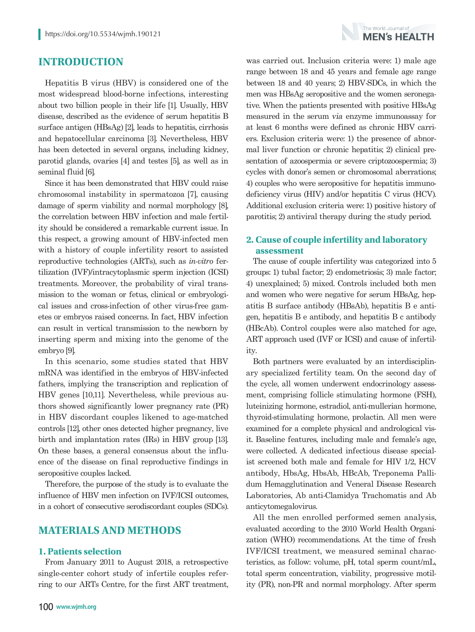

# **INTRODUCTION**

Hepatitis B virus (HBV) is considered one of the most widespread blood-borne infections, interesting about two billion people in their life [1]. Usually, HBV disease, described as the evidence of serum hepatitis B surface antigen (HBsAg) [2], leads to hepatitis, cirrhosis and hepatocellular carcinoma [3]. Nevertheless, HBV has been detected in several organs, including kidney, parotid glands, ovaries [4] and testes [5], as well as in seminal fluid [6].

Since it has been demonstrated that HBV could raise chromosomal instability in spermatozoa [7], causing damage of sperm viability and normal morphology [8], the correlation between HBV infection and male fertility should be considered a remarkable current issue. In this respect, a growing amount of HBV-infected men with a history of couple infertility resort to assisted reproductive technologies (ARTs), such as *in-vitro* fertilization (IVF)/intracytoplasmic sperm injection (ICSI) treatments. Moreover, the probability of viral transmission to the woman or fetus, clinical or embryological issues and cross-infection of other virus-free gametes or embryos raised concerns. In fact, HBV infection can result in vertical transmission to the newborn by inserting sperm and mixing into the genome of the embryo [9].

In this scenario, some studies stated that HBV mRNA was identified in the embryos of HBV-infected fathers, implying the transcription and replication of HBV genes [10,11]. Nevertheless, while previous authors showed significantly lower pregnancy rate (PR) in HBV discordant couples likened to age-matched controls [12], other ones detected higher pregnancy, live birth and implantation rates (IRs) in HBV group [13]. On these bases, a general consensus about the influence of the disease on final reproductive findings in seropositive couples lacked.

Therefore, the purpose of the study is to evaluate the influence of HBV men infection on IVF/ICSI outcomes, in a cohort of consecutive serodiscordant couples (SDCs).

# **MATERIALS AND METHODS**

#### **1. Patients selection**

From January 2011 to August 2018, a retrospective single-center cohort study of infertile couples referring to our ARTs Centre, for the first ART treatment, range between 18 and 45 years and female age range between 18 and 40 years; 2) HBV-SDCs, in which the men was HBsAg seropositive and the women seronegative. When the patients presented with positive HBsAg measured in the serum via enzyme immunoassay for at least 6 months were defined as chronic HBV carriers. Exclusion criteria were: 1) the presence of abnormal liver function or chronic hepatitis; 2) clinical presentation of azoospermia or severe criptozoospermia; 3) cycles with donor's semen or chromosomal aberrations; 4) couples who were seropositive for hepatitis immunodeficiency virus (HIV) and/or hepatitis C virus (HCV). Additional exclusion criteria were: 1) positive history of parotitis; 2) antiviral therapy during the study period.

was carried out. Inclusion criteria were: 1) male age

# **2. Cause of couple infertility and laboratory assessment**

The cause of couple infertility was categorized into 5 groups: 1) tubal factor; 2) endometriosis; 3) male factor; 4) unexplained; 5) mixed. Controls included both men and women who were negative for serum HBsAg, hepatitis B surface antibody (HBsAb), hepatitis B e antigen, hepatitis B e antibody, and hepatitis B c antibody (HBcAb). Control couples were also matched for age, ART approach used (IVF or ICSI) and cause of infertility.

Both partners were evaluated by an interdisciplinary specialized fertility team. On the second day of the cycle, all women underwent endocrinology assessment, comprising follicle stimulating hormone (FSH), luteinizing hormone, estradiol, anti-mullerian hormone, thyroid-stimulating hormone, prolactin. All men were examined for a complete physical and andrological visit. Baseline features, including male and female's age, were collected. A dedicated infectious disease specialist screened both male and female for HIV 1/2, HCV antibody, HbsAg, HbsAb, HBcAb, Treponema Pallidum Hemagglutination and Veneral Disease Research Laboratories, Ab anti-Clamidya Trachomatis and Ab anticytomegalovirus.

All the men enrolled performed semen analysis, evaluated according to the 2010 World Health Organization (WHO) recommendations. At the time of fresh IVF/ICSI treatment, we measured seminal characteristics, as follow: volume, pH, total sperm count/mL, total sperm concentration, viability, progressive motility (PR), non-PR and normal morphology. After sperm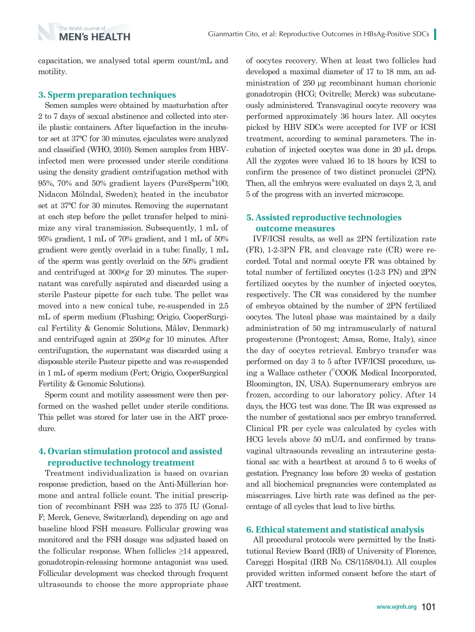capacitation, we analysed total sperm count/mL and motility.

#### **3. Sperm preparation techniques**

The World Journal of **MEN's HEALTH** 

Semen samples were obtained by masturbation after 2 to 7 days of sexual abstinence and collected into sterile plastic containers. After liquefaction in the incubator set at 37°C for 30 minutes, ejaculates were analyzed and classified (WHO, 2010). Semen samples from HBVinfected men were processed under sterile conditions using the density gradient centrifugation method with 95%, 70% and 50% gradient layers (PureSperm® 100; Nidacon Mölndal, Sweden); heated in the incubator set at 37°C for 30 minutes. Removing the supernatant at each step before the pellet transfer helped to minimize any viral transmission. Subsequently, 1 mL of 95% gradient, 1 mL of 70% gradient, and 1 mL of 50% gradient were gently overlaid in a tube: finally, 1 mL of the sperm was gently overlaid on the 50% gradient and centrifuged at 300×*g* for 20 minutes. The supernatant was carefully aspirated and discarded using a sterile Pasteur pipette for each tube. The pellet was moved into a new conical tube, re-suspended in 2.5 mL of sperm medium (Flushing; Origio, CooperSurgical Fertility & Genomic Solutions, Måløv, Denmark) and centrifuged again at 250×*g* for 10 minutes. After centrifugation, the supernatant was discarded using a disposable sterile Pasteur pipette and was re-suspended in 1 mL of sperm medium (Fert; Origio, CooperSurgical Fertility & Genomic Solutions).

Sperm count and motility assessment were then performed on the washed pellet under sterile conditions. This pellet was stored for later use in the ART procedure.

## **4. Ovarian stimulation protocol and assisted reproductive technology treatment**

Treatment individualization is based on ovarian response prediction, based on the Anti-Müllerian hormone and antral follicle count. The initial prescription of recombinant FSH was 225 to 375 IU (Gonal-F; Merck, Geneve, Switzerland), depending on age and baseline blood FSH measure. Follicular growing was monitored and the FSH dosage was adjusted based on the follicular response. When follicles  $\geq 14$  appeared, gonadotropin-releasing hormone antagonist was used. Follicular development was checked through frequent ultrasounds to choose the more appropriate phase of oocytes recovery. When at least two follicles had developed a maximal diameter of 17 to 18 mm, an administration of 250 μg recombinant human chorionic gonadotropin (HCG; Ovitrelle; Merck) was subcutaneously administered. Transvaginal oocyte recovery was performed approximately 36 hours later. All oocytes picked by HBV SDCs were accepted for IVF or ICSI treatment, according to seminal parameters. The incubation of injected oocytes was done in 20 µL drops. All the zygotes were valued 16 to 18 hours by ICSI to confirm the presence of two distinct pronuclei (2PN). Then, all the embryos were evaluated on days 2, 3, and 5 of the progress with an inverted microscope.

## **5. Assisted reproductive technologies outcome measures**

IVF/ICSI results, as well as 2PN fertilization rate (FR), 1-2-3PN FR, and cleavage rate (CR) were recorded. Total and normal oocyte FR was obtained by total number of fertilized oocytes (1-2-3 PN) and 2PN fertilized oocytes by the number of injected oocytes, respectively. The CR was considered by the number of embryos obtained by the number of 2PN fertilized oocytes. The luteal phase was maintained by a daily administration of 50 mg intramuscularly of natural progesterone (Prontogest; Amsa, Rome, Italy), since the day of oocytes retrieval. Embryo transfer was performed on day 3 to 5 after IVF/ICSI procedure, using a Wallace catheter (© COOK Medical Incorporated, Bloomington, IN, USA). Supernumerary embryos are frozen, according to our laboratory policy. After 14 days, the HCG test was done. The IR was expressed as the number of gestational sacs per embryo transferred. Clinical PR per cycle was calculated by cycles with HCG levels above 50 mU/L and confirmed by transvaginal ultrasounds revealing an intrauterine gestational sac with a heartbeat at around 5 to 6 weeks of gestation. Pregnancy loss before 20 weeks of gestation and all biochemical pregnancies were contemplated as miscarriages. Live birth rate was defined as the percentage of all cycles that lead to live births.

#### **6. Ethical statement and statistical analysis**

All procedural protocols were permitted by the Institutional Review Board (IRB) of University of Florence, Careggi Hospital (IRB No. CS/1158/04.1). All couples provided written informed consent before the start of ART treatment.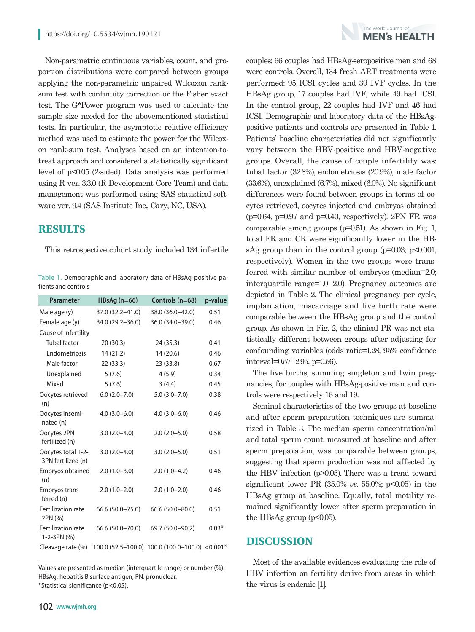Non-parametric continuous variables, count, and proportion distributions were compared between groups applying the non-parametric unpaired Wilcoxon ranksum test with continuity correction or the Fisher exact test. The G\*Power program was used to calculate the sample size needed for the abovementioned statistical tests. In particular, the asymptotic relative efficiency method was used to estimate the power for the Wilcoxon rank-sum test. Analyses based on an intention-totreat approach and considered a statistically significant level of p<0.05 (2-sided). Data analysis was performed using R ver. 3.3.0 (R Development Core Team) and data management was performed using SAS statistical software ver. 9.4 (SAS Institute Inc., Cary, NC, USA).

# **RESULTS**

This retrospective cohort study included 134 infertile

**Table 1.** Demographic and laboratory data of HBsAg-positive patients and controls

| <b>Parameter</b>                         | $HBSAg(n=66)$    | Controls (n=68)                                | p-value |
|------------------------------------------|------------------|------------------------------------------------|---------|
| Male age (y)                             | 37.0 (32.2–41.0) | 38.0 (36.0–42.0)                               | 0.51    |
| Female age (y)                           | 34.0 (29.2-36.0) | 36.0 (34.0-39.0)                               | 0.46    |
| Cause of infertility                     |                  |                                                |         |
| <b>Tubal factor</b>                      | 20(30.3)         | 24 (35.3)                                      | 0.41    |
| Endometriosis                            | 14(21.2)         | 14 (20.6)                                      | 0.46    |
| Male factor                              | 22(33.3)         | 23 (33.8)                                      | 0.67    |
| Unexplained                              | 5(7.6)           | 4(5.9)                                         | 0.34    |
| Mixed                                    | 5(7.6)           | 3(4.4)                                         | 0.45    |
| Oocytes retrieved<br>(n)                 | $6.0(2.0 - 7.0)$ | $5.0(3.0 - 7.0)$                               | 0.38    |
| Oocytes insemi-<br>nated (n)             | $4.0(3.0 - 6.0)$ | $4.0(3.0-6.0)$                                 | 0.46    |
| Oocytes 2PN<br>fertilized (n)            | $3.0(2.0-4.0)$   | $2.0(2.0-5.0)$                                 | 0.58    |
| Oocytes total 1-2-<br>3PN fertilized (n) | $3.0(2.0-4.0)$   | $3.0(2.0 - 5.0)$                               | 0.51    |
| Embryos obtained<br>(n)                  | $2.0(1.0-3.0)$   | $2.0(1.0-4.2)$                                 | 0.46    |
| Embryos trans-<br>ferred (n)             | $2.0(1.0-2.0)$   | $2.0(1.0-2.0)$                                 | 0.46    |
| Fertilization rate<br>2PN (%)            | 66.6 (50.0-75.0) | $66.6(50.0 - 80.0)$                            | 0.51    |
| Fertilization rate<br>1-2-3PN (%)        | 66.6 (50.0-70.0) | 69.7 (50.0-90.2)                               | $0.03*$ |
| Cleavage rate (%)                        |                  | 100.0 (52.5-100.0) 100.0 (100.0-100.0) <0.001* |         |

Values are presented as median (interquartile range) or number (%). HBsAg: hepatitis B surface antigen, PN: pronuclear. \*Statistical significance (p<0.05).



couples: 66 couples had HBsAg-seropositive men and 68 were controls. Overall, 134 fresh ART treatments were performed: 95 ICSI cycles and 39 IVF cycles. In the HBsAg group, 17 couples had IVF, while 49 had ICSI. In the control group, 22 couples had IVF and 46 had ICSI. Demographic and laboratory data of the HBsAgpositive patients and controls are presented in Table 1. Patients' baseline characteristics did not significantly vary between the HBV-positive and HBV-negative groups. Overall, the cause of couple infertility was: tubal factor (32.8%), endometriosis (20.9%), male factor (33.6%), unexplained (6.7%), mixed (6.0%). No significant differences were found between groups in terms of oocytes retrieved, oocytes injected and embryos obtained  $(p=0.64, p=0.97, q=0.40, respectively)$ . 2PN FR was comparable among groups (p=0.51). As shown in Fig. 1, total FR and CR were significantly lower in the HBsAg group than in the control group ( $p=0.03$ ;  $p<0.001$ , respectively). Women in the two groups were transferred with similar number of embryos (median=2.0; interquartile range=1.0–2.0). Pregnancy outcomes are depicted in Table 2. The clinical pregnancy per cycle, implantation, miscarriage and live birth rate were comparable between the HBsAg group and the control group. As shown in Fig. 2, the clinical PR was not statistically different between groups after adjusting for confounding variables (odds ratio=1.28, 95% confidence interval=0.57–2.95, p=0.56).

The live births, summing singleton and twin pregnancies, for couples with HBsAg-positive man and controls were respectively 16 and 19.

Seminal characteristics of the two groups at baseline and after sperm preparation techniques are summarized in Table 3. The median sperm concentration/ml and total sperm count, measured at baseline and after sperm preparation, was comparable between groups, suggesting that sperm production was not affected by the HBV infection (p>0.05). There was a trend toward significant lower PR  $(35.0\% \text{ vs. } 55.0\%; \text{ p} < 0.05)$  in the HBsAg group at baseline. Equally, total motility remained significantly lower after sperm preparation in the HBsAg group  $(p<0.05)$ .

# **DISCUSSION**

Most of the available evidences evaluating the role of HBV infection on fertility derive from areas in which the virus is endemic [1].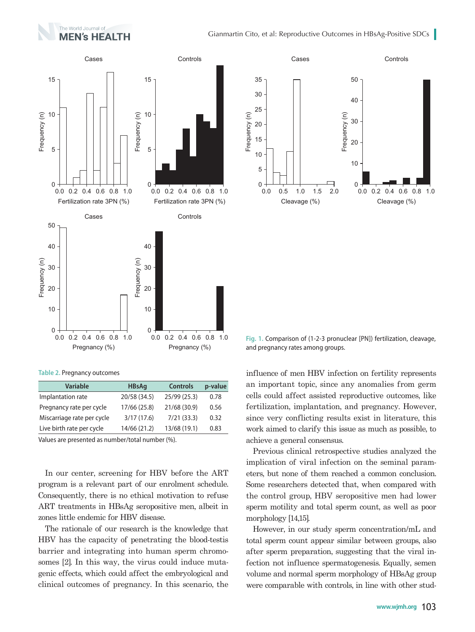



**Table 2.** Pregnancy outcomes

| <b>Variable</b>            | <b>HBsAg</b> | <b>Controls</b> | p-value |
|----------------------------|--------------|-----------------|---------|
| Implantation rate          | 20/58 (34.5) | 25/99 (25.3)    | 0.78    |
| Pregnancy rate per cycle   | 17/66 (25.8) | 21/68 (30.9)    | 0.56    |
| Miscarriage rate per cycle | 3/17(17.6)   | 7/21(33.3)      | 0.32    |
| Live birth rate per cycle  | 14/66 (21.2) | 13/68 (19.1)    | 0.83    |
|                            |              |                 |         |

Values are presented as number/total number (%).

In our center, screening for HBV before the ART program is a relevant part of our enrolment schedule. Consequently, there is no ethical motivation to refuse ART treatments in HBsAg seropositive men, albeit in zones little endemic for HBV disease.

The rationale of our research is the knowledge that HBV has the capacity of penetrating the blood-testis barrier and integrating into human sperm chromosomes [2]. In this way, the virus could induce mutagenic effects, which could affect the embryological and clinical outcomes of pregnancy. In this scenario, the



**Fig. 1.** Comparison of (1-2-3 pronuclear [PN]) fertilization, cleavage, and pregnancy rates among groups.

influence of men HBV infection on fertility represents an important topic, since any anomalies from germ cells could affect assisted reproductive outcomes, like fertilization, implantation, and pregnancy. However, since very conflicting results exist in literature, this work aimed to clarify this issue as much as possible, to achieve a general consensus.

Previous clinical retrospective studies analyzed the implication of viral infection on the seminal parameters, but none of them reached a common conclusion. Some researchers detected that, when compared with the control group, HBV seropositive men had lower sperm motility and total sperm count, as well as poor morphology [14,15].

However, in our study sperm concentration/mL and total sperm count appear similar between groups, also after sperm preparation, suggesting that the viral infection not influence spermatogenesis. Equally, semen volume and normal sperm morphology of HBsAg group were comparable with controls, in line with other stud-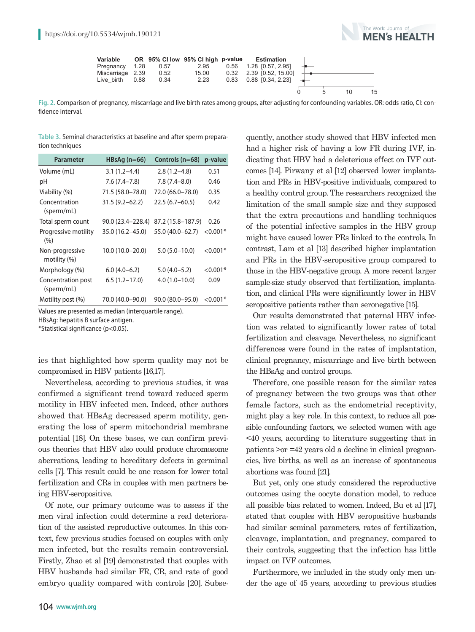

| Variable         |      |      | OR 95% CI low 95% CI high p-value |      | Estimation                |  |    |    |
|------------------|------|------|-----------------------------------|------|---------------------------|--|----|----|
| Pregnancy        | 1.28 | 0.57 | 2.95                              |      | 0.56 1.28 10.57 2.951     |  |    |    |
| Miscarriage 2.39 |      | 0.52 | 15.00                             |      | $0.32$ 2.39 [0.52, 15.00] |  |    |    |
| Live birth       | 0.88 | 0.34 | 2.23                              | 0.83 | 0.88 [0.34, 2.23]         |  |    |    |
|                  |      |      |                                   |      |                           |  | 10 | 15 |
|                  |      |      |                                   |      |                           |  |    |    |

**Fig. 2.** Comparison of pregnancy, miscarriage and live birth rates among groups, after adjusting for confounding variables. OR: odds ratio, CI: confidence interval.

**Table 3.** Seminal characteristics at baseline and after sperm preparation techniques

| <b>Parameter</b>                 | $HBSAg(n=66)$      | Controls (n=68)     | p-value    |
|----------------------------------|--------------------|---------------------|------------|
| Volume (mL)                      | $3.1(1.2 - 4.4)$   | $2.8(1.2 - 4.8)$    | 0.51       |
| рH                               | $7.6(7.4 - 7.8)$   | $7.8(7.4-8.0)$      | 0.46       |
| Viability (%)                    | 71.5 (58.0-78.0)   | 72.0 (66.0-78.0)    | 0.35       |
| Concentration<br>(sperm/mL)      | $31.5(9.2 - 62.2)$ | $22.5(6.7-60.5)$    | 0.42       |
| Total sperm count                | 90.0 (23.4–228.4)  | 87.2 (15.8-187.9)   | 0.26       |
| Progressive motility<br>(%)      | 35.0 (16.2-45.0)   | 55.0 (40.0-62.7)    | $< 0.001*$ |
| Non-progressive<br>motility (%)  | 10.0 (10.0-20.0)   | $5.0(5.0-10.0)$     | $< 0.001*$ |
| Morphology (%)                   | $6.0(4.0-6.2)$     | $5.0(4.0-5.2)$      | $< 0.001*$ |
| Concentration post<br>(sperm/mL) | $6.5(1.2 - 17.0)$  | $4.0(1.0-10.0)$     | 0.09       |
| Motility post (%)                | 70.0 (40.0–90.0)   | $90.0(80.0 - 95.0)$ | $< 0.001*$ |

Values are presented as median (interquartile range).

HBsAg: hepatitis B surface antigen.

\*Statistical significance (p<0.05).

ies that highlighted how sperm quality may not be compromised in HBV patients [16,17].

Nevertheless, according to previous studies, it was confirmed a significant trend toward reduced sperm motility in HBV infected men. Indeed, other authors showed that HBsAg decreased sperm motility, generating the loss of sperm mitochondrial membrane potential [18]. On these bases, we can confirm previous theories that HBV also could produce chromosome aberrations, leading to hereditary defects in germinal cells [7]. This result could be one reason for lower total fertilization and CRs in couples with men partners being HBV-seropositive.

Of note, our primary outcome was to assess if the men viral infection could determine a real deterioration of the assisted reproductive outcomes. In this context, few previous studies focused on couples with only men infected, but the results remain controversial. Firstly, Zhao et al [19] demonstrated that couples with HBV husbands had similar FR, CR, and rate of good embryo quality compared with controls [20]. Subsequently, another study showed that HBV infected men had a higher risk of having a low FR during IVF, indicating that HBV had a deleterious effect on IVF outcomes [14]. Pirwany et al [12] observed lower implantation and PRs in HBV-positive individuals, compared to a healthy control group. The researchers recognized the limitation of the small sample size and they supposed that the extra precautions and handling techniques of the potential infective samples in the HBV group might have caused lower PRs linked to the controls. In contrast, Lam et al [13] described higher implantation and PRs in the HBV-seropositive group compared to those in the HBV-negative group. A more recent larger sample-size study observed that fertilization, implantation, and clinical PRs were significantly lower in HBV seropositive patients rather than seronegative [15].

Our results demonstrated that paternal HBV infection was related to significantly lower rates of total fertilization and cleavage. Nevertheless, no significant differences were found in the rates of implantation, clinical pregnancy, miscarriage and live birth between the HBsAg and control groups.

Therefore, one possible reason for the similar rates of pregnancy between the two groups was that other female factors, such as the endometrial receptivity, might play a key role. In this context, to reduce all possible confounding factors, we selected women with age <40 years, according to literature suggesting that in patients >or =42 years old a decline in clinical pregnancies, live births, as well as an increase of spontaneous abortions was found [21].

But yet, only one study considered the reproductive outcomes using the oocyte donation model, to reduce all possible bias related to women. Indeed, Bu et al [17], stated that couples with HBV seropositive husbands had similar seminal parameters, rates of fertilization, cleavage, implantation, and pregnancy, compared to their controls, suggesting that the infection has little impact on IVF outcomes.

Furthermore, we included in the study only men under the age of 45 years, according to previous studies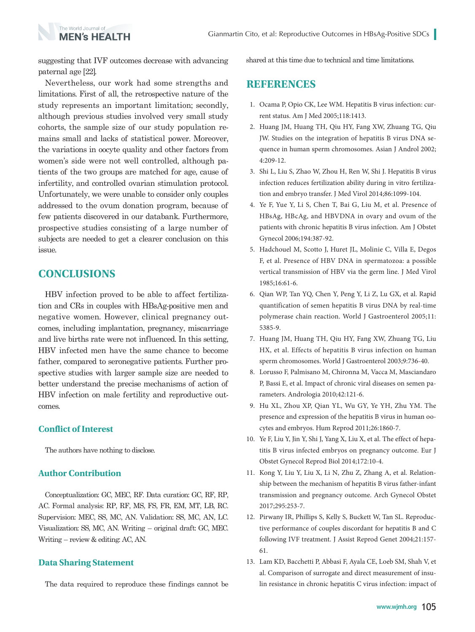suggesting that IVF outcomes decrease with advancing paternal age [22].

The World Journal of **MFN's HEALTH** 

Nevertheless, our work had some strengths and limitations. First of all, the retrospective nature of the study represents an important limitation; secondly, although previous studies involved very small study cohorts, the sample size of our study population remains small and lacks of statistical power. Moreover, the variations in oocyte quality and other factors from women's side were not well controlled, although patients of the two groups are matched for age, cause of infertility, and controlled ovarian stimulation protocol. Unfortunately, we were unable to consider only couples addressed to the ovum donation program, because of few patients discovered in our databank. Furthermore, prospective studies consisting of a large number of subjects are needed to get a clearer conclusion on this issue.

# **CONCLUSIONS**

HBV infection proved to be able to affect fertilization and CRs in couples with HBsAg-positive men and negative women. However, clinical pregnancy outcomes, including implantation, pregnancy, miscarriage and live births rate were not influenced. In this setting, HBV infected men have the same chance to become father, compared to seronegative patients. Further prospective studies with larger sample size are needed to better understand the precise mechanisms of action of HBV infection on male fertility and reproductive outcomes.

#### **Conflict of Interest**

The authors have nothing to disclose.

#### **Author Contribution**

Conceptualization: GC, MEC, RF. Data curation: GC, RF, RP, AC. Formal analysis: RP, RF, MS, FS, FR, EM, MT, LB, RC. Supervision: MEC, SS, MC, AN. Validation: SS, MC, AN, LC. Visualization: SS, MC, AN. Writing – original draft: GC, MEC. Writing – review & editing: AC, AN.

#### **Data Sharing Statement**

The data required to reproduce these findings cannot be

shared at this time due to technical and time limitations.

# **REFERENCES**

- 1. Ocama P, Opio CK, Lee WM. Hepatitis B virus infection: current status. Am J Med 2005;118:1413.
- 2. Huang JM, Huang TH, Qiu HY, Fang XW, Zhuang TG, Qiu JW. Studies on the integration of hepatitis B virus DNA sequence in human sperm chromosomes. Asian J Androl 2002; 4:209-12.
- 3. Shi L, Liu S, Zhao W, Zhou H, Ren W, Shi J. Hepatitis B virus infection reduces fertilization ability during in vitro fertilization and embryo transfer. J Med Virol 2014;86:1099-104.
- 4. Ye F, Yue Y, Li S, Chen T, Bai G, Liu M, et al. Presence of HBsAg, HBcAg, and HBVDNA in ovary and ovum of the patients with chronic hepatitis B virus infection. Am J Obstet Gynecol 2006;194:387-92.
- 5. Hadchouel M, Scotto J, Huret JL, Molinie C, Villa E, Degos F, et al. Presence of HBV DNA in spermatozoa: a possible vertical transmission of HBV via the germ line. J Med Virol 1985;16:61-6.
- 6. Qian WP, Tan YQ, Chen Y, Peng Y, Li Z, Lu GX, et al. Rapid quantification of semen hepatitis B virus DNA by real-time polymerase chain reaction. World J Gastroenterol 2005;11: 5385-9.
- 7. Huang JM, Huang TH, Qiu HY, Fang XW, Zhuang TG, Liu HX, et al. Effects of hepatitis B virus infection on human sperm chromosomes. World J Gastroenterol 2003;9:736-40.
- 8. Lorusso F, Palmisano M, Chironna M, Vacca M, Masciandaro P, Bassi E, et al. Impact of chronic viral diseases on semen parameters. Andrologia 2010;42:121-6.
- 9. Hu XL, Zhou XP, Qian YL, Wu GY, Ye YH, Zhu YM. The presence and expression of the hepatitis B virus in human oocytes and embryos. Hum Reprod 2011;26:1860-7.
- 10. Ye F, Liu Y, Jin Y, Shi J, Yang X, Liu X, et al. The effect of hepatitis B virus infected embryos on pregnancy outcome. Eur J Obstet Gynecol Reprod Biol 2014;172:10-4.
- 11. Kong Y, Liu Y, Liu X, Li N, Zhu Z, Zhang A, et al. Relationship between the mechanism of hepatitis B virus father-infant transmission and pregnancy outcome. Arch Gynecol Obstet 2017;295:253-7.
- 12. Pirwany IR, Phillips S, Kelly S, Buckett W, Tan SL. Reproductive performance of couples discordant for hepatitis B and C following IVF treatment. J Assist Reprod Genet 2004;21:157- 61.
- 13. Lam KD, Bacchetti P, Abbasi F, Ayala CE, Loeb SM, Shah V, et al. Comparison of surrogate and direct measurement of insulin resistance in chronic hepatitis C virus infection: impact of